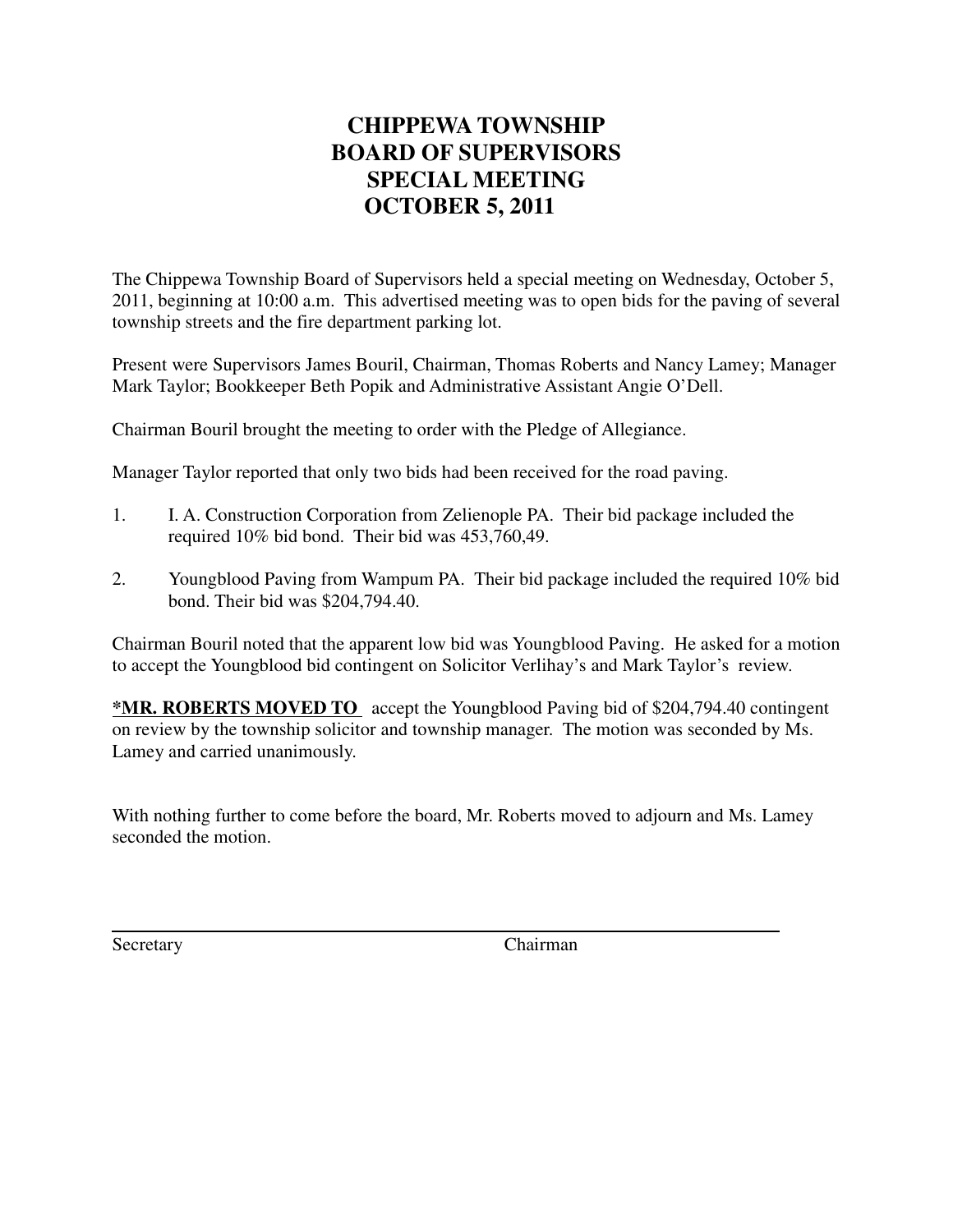## **CHIPPEWA TOWNSHIP BOARD OF SUPERVISORS SPECIAL MEETING OCTOBER 5, 2011**

The Chippewa Township Board of Supervisors held a special meeting on Wednesday, October 5, 2011, beginning at 10:00 a.m. This advertised meeting was to open bids for the paving of several township streets and the fire department parking lot.

Present were Supervisors James Bouril, Chairman, Thomas Roberts and Nancy Lamey; Manager Mark Taylor; Bookkeeper Beth Popik and Administrative Assistant Angie O'Dell.

Chairman Bouril brought the meeting to order with the Pledge of Allegiance.

Manager Taylor reported that only two bids had been received for the road paving.

- 1. I. A. Construction Corporation from Zelienople PA. Their bid package included the required 10% bid bond. Their bid was 453,760,49.
- 2. Youngblood Paving from Wampum PA. Their bid package included the required 10% bid bond. Their bid was \$204,794.40.

Chairman Bouril noted that the apparent low bid was Youngblood Paving. He asked for a motion to accept the Youngblood bid contingent on Solicitor Verlihay's and Mark Taylor's review.

**\*MR. ROBERTS MOVED TO** accept the Youngblood Paving bid of \$204,794.40 contingent on review by the township solicitor and township manager. The motion was seconded by Ms. Lamey and carried unanimously.

With nothing further to come before the board, Mr. Roberts moved to adjourn and Ms. Lamey seconded the motion.

 $\overline{a}$ 

Secretary Chairman